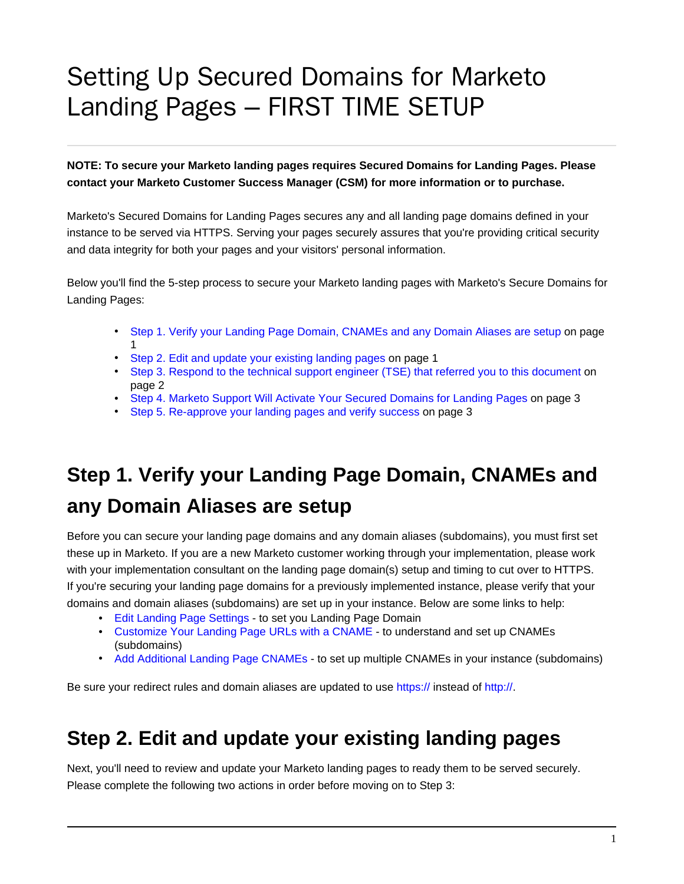# Setting Up Secured Domains for Marketo Landing Pages – FIRST TIME SETUP

**NOTE: To secure your Marketo landing pages requires Secured Domains for Landing Pages. Please contact your Marketo Customer Success Manager (CSM) for more information or to purchase.**

Marketo's Secured Domains for Landing Pages secures any and all landing page domains defined in your instance to be served via HTTPS. Serving your pages securely assures that you're providing critical security and data integrity for both your pages and your visitors' personal information.

Below you'll find the 5-step process to secure your Marketo landing pages with Marketo's Secure Domains for Landing Pages:

- [Step 1. Verify your Landing Page Domain, CNAMEs and any Domain Aliases are setup](#page-0-0) on page 1
- [Step 2. Edit and update your existing landing pages](#page-0-1) on page 1
- [Step 3. Respond to the technical support engineer \(TSE\) that referred you to this document](#page-1-0) on page 2
- [Step 4. Marketo Support Will Activate Your Secured Domains for Landing Pages](#page-2-0) on page 3
- [Step 5. Re-approve your landing pages and verify success](#page-2-1) on page 3

### <span id="page-0-0"></span>**Step 1. Verify your Landing Page Domain, CNAMEs and any Domain Aliases are setup**

Before you can secure your landing page domains and any domain aliases (subdomains), you must first set these up in Marketo. If you are a new Marketo customer working through your implementation, please work with your implementation consultant on the landing page domain(s) setup and timing to cut over to HTTPS. If you're securing your landing page domains for a previously implemented instance, please verify that your domains and domain aliases (subdomains) are set up in your instance. Below are some links to help:

- [Edit Landing Page Settings](https://nation.marketo.com/external-link.jspa?url=https%3A%2F%2Fdocs.marketo.com%2Fdisplay%2Fpublic%2FDOCS%2FEdit%2BLanding%2BPage%2BSettings) to set you Landing Page Domain
- [Customize Your Landing Page URLs with a CNAME](https://nation.marketo.com/external-link.jspa?url=https%3A%2F%2Fdocs.marketo.com%2Fpages%2Freleaseview.action%3FpageId%3D2360189)  to understand and set up CNAMEs (subdomains)
- [Add Additional Landing Page CNAMEs](https://nation.marketo.com/external-link.jspa?url=https%3A%2F%2Fdocs.marketo.com%2Fdisplay%2Fpublic%2FDOCS%2FAdd%2BAdditional%2BLanding%2BPage%2BCNAMEs) to set up multiple CNAMEs in your instance (subdomains)

Be sure your redirect rules and domain aliases are updated to use [https://](https://nation.marketo.com/https:) instead of [http://](https://nation.marketo.com/http:).

#### <span id="page-0-1"></span>**Step 2. Edit and update your existing landing pages**

Next, you'll need to review and update your Marketo landing pages to ready them to be served securely. Please complete the following two actions in order before moving on to Step 3: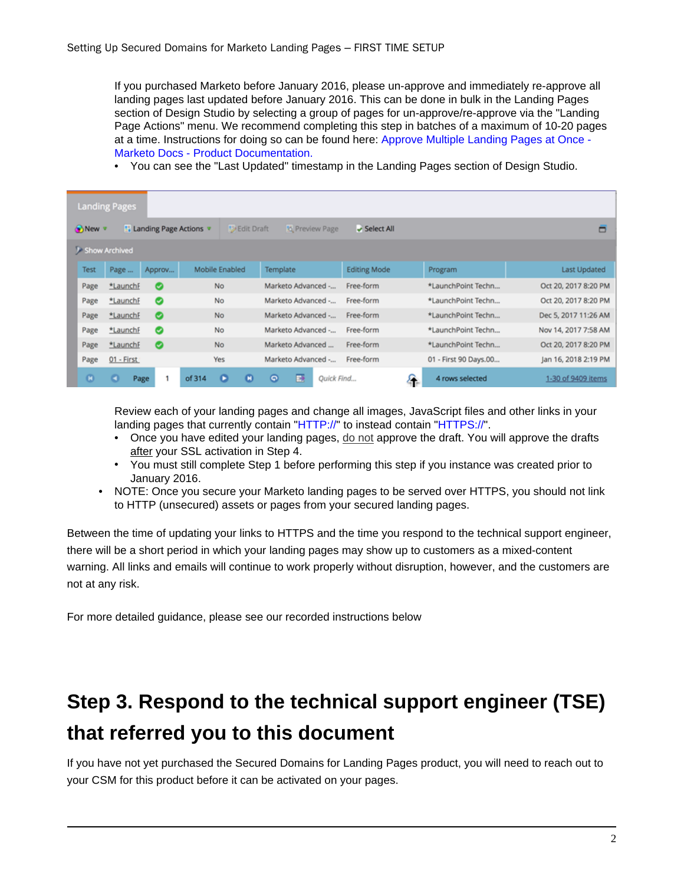If you purchased Marketo before January 2016, please un-approve and immediately re-approve all landing pages last updated before January 2016. This can be done in bulk in the Landing Pages section of Design Studio by selecting a group of pages for un-approve/re-approve via the "Landing Page Actions" menu. We recommend completing this step in batches of a maximum of 10-20 pages at a time. Instructions for doing so can be found here: [Approve Multiple Landing Pages at Once -](https://nation.marketo.com/external-link.jspa?url=https%3A%2F%2Fdocs.marketo.com%2Fdisplay%2Fpublic%2FDOCS%2FApprove%2BMultiple%2BLanding%2BPages%2Bat%2BOnce) [Marketo Docs - Product Documentation.](https://nation.marketo.com/external-link.jspa?url=https%3A%2F%2Fdocs.marketo.com%2Fdisplay%2Fpublic%2FDOCS%2FApprove%2BMultiple%2BLanding%2BPages%2Bat%2BOnce)

• You can see the "Last Updated" timestamp in the Landing Pages section of Design Studio.

| <b>Landing Pages</b>                          |                       |                                 |                       |                     |                       |                      |
|-----------------------------------------------|-----------------------|---------------------------------|-----------------------|---------------------|-----------------------|----------------------|
| New <b>v</b><br><b>Landing Page Actions v</b> |                       | <b>D</b> Edit Draft             | <b>b</b> Preview Page | Select All          |                       | ▭                    |
| <b>J</b> Show Archived                        |                       |                                 |                       |                     |                       |                      |
| Test                                          | Page<br>Approv        | Mobile Enabled                  | Template              | <b>Editing Mode</b> | Program               | <b>Last Updated</b>  |
| Page                                          | *LaunchF<br>$\bullet$ | No                              | Marketo Advanced -    | Free-form           | *LaunchPoint Techn    | Oct 20, 2017 8:20 PM |
| Page                                          | ◎<br>*LaunchF         | No                              | Marketo Advanced -    | Free-form           | *LaunchPoint Techn    | Oct 20, 2017 8:20 PM |
| Page                                          | $\bullet$<br>*LaunchF | No                              | Marketo Advanced -    | Free-form           | *LaunchPoint Techn    | Dec 5, 2017 11:26 AM |
| Page                                          | *LaunchF<br>$\bullet$ | No                              | Marketo Advanced -    | Free-form           | *LaunchPoint Techn    | Nov 14, 2017 7:58 AM |
| Page                                          | $\bullet$<br>*LaunchF | No                              | Marketo Advanced      | Free-form           | *LaunchPoint Techn    | Oct 20, 2017 8:20 PM |
| Page                                          | 01 - First            | Yes                             | Marketo Advanced -    | Free-form           | 01 - First 90 Days.00 | Jan 16, 2018 2:19 PM |
| $\mathbf{c}$                                  | ۰<br>Page             | ۰<br>$\mathbf \sigma$<br>of 314 | ₽<br>Θ<br>Quick Find  | 4                   | 4 rows selected       | 1-30 of 9409 items   |

Review each of your landing pages and change all images, JavaScript files and other links in your landing pages that currently contain "[HTTP://](https://nation.marketo.com/external-link.jspa?url=HTTP%3A%2F%2F)" to instead contain ["HTTPS://](https://nation.marketo.com/external-link.jspa?url=HTTPS%3A%2F%2F)".

- Once you have edited your landing pages, do not approve the draft. You will approve the drafts after your SSL activation in Step 4.
- You must still complete Step 1 before performing this step if you instance was created prior to January 2016.
- NOTE: Once you secure your Marketo landing pages to be served over HTTPS, you should not link to HTTP (unsecured) assets or pages from your secured landing pages.

Between the time of updating your links to HTTPS and the time you respond to the technical support engineer, there will be a short period in which your landing pages may show up to customers as a mixed-content warning. All links and emails will continue to work properly without disruption, however, and the customers are not at any risk.

For more detailed guidance, please see our recorded instructions below

#### <span id="page-1-0"></span>**Step 3. Respond to the technical support engineer (TSE) that referred you to this document**

If you have not yet purchased the Secured Domains for Landing Pages product, you will need to reach out to your CSM for this product before it can be activated on your pages.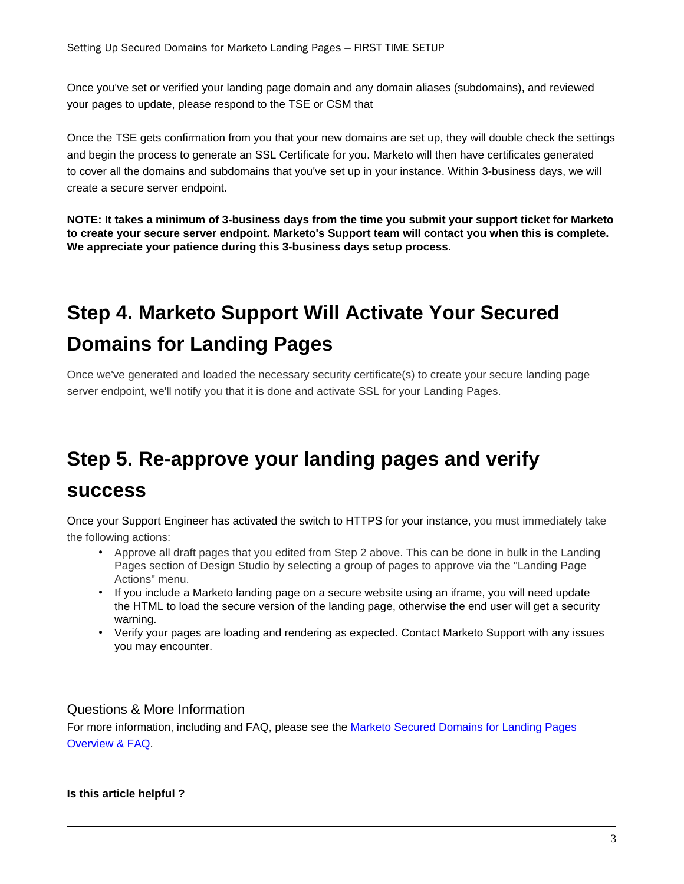Once you've set or verified your landing page domain and any domain aliases (subdomains), and reviewed your pages to update, please respond to the TSE or CSM that

Once the TSE gets confirmation from you that your new domains are set up, they will double check the settings and begin the process to generate an SSL Certificate for you. Marketo will then have certificates generated to cover all the domains and subdomains that you've set up in your instance. Within 3-business days, we will create a secure server endpoint.

**NOTE: It takes a minimum of 3-business days from the time you submit your support ticket for Marketo to create your secure server endpoint. Marketo's Support team will contact you when this is complete. We appreciate your patience during this 3-business days setup process.**

### <span id="page-2-0"></span>**Step 4. Marketo Support Will Activate Your Secured Domains for Landing Pages**

Once we've generated and loaded the necessary security certificate(s) to create your secure landing page server endpoint, we'll notify you that it is done and activate SSL for your Landing Pages.

## <span id="page-2-1"></span>**Step 5. Re-approve your landing pages and verify**

#### **success**

Once your Support Engineer has activated the switch to HTTPS for your instance, you must immediately take the following actions:

- Approve all draft pages that you edited from Step 2 above. This can be done in bulk in the Landing Pages section of Design Studio by selecting a group of pages to approve via the "Landing Page Actions" menu.
- If you include a Marketo landing page on a secure website using an iframe, you will need update the HTML to load the secure version of the landing page, otherwise the end user will get a security warning.
- Verify your pages are loading and rendering as expected. Contact Marketo Support with any issues you may encounter.

#### Questions & More Information

For more information, including and FAQ, please see the [Marketo Secured Domains for Landing Pages](https://nation.marketo.com/docs/DOC-5612-overview-faq-secured-domains-for-landing-pages) [Overview & FAQ](https://nation.marketo.com/docs/DOC-5612-overview-faq-secured-domains-for-landing-pages).

**Is this article helpful ?**